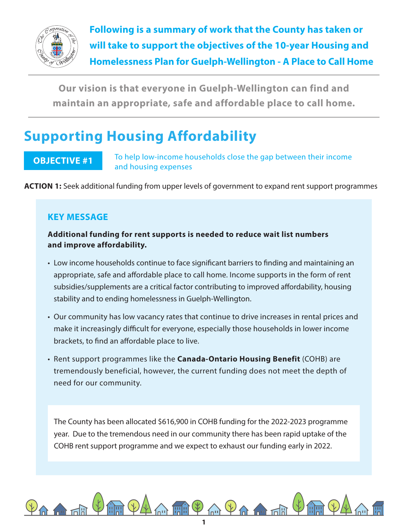

**Following is a summary of work that the County has taken or will take to support the objectives of the 10-year Housing and Homelessness Plan for Guelph-Wellington - A Place to Call Home**

**Our vision is that everyone in Guelph-Wellington can find and maintain an appropriate, safe and affordable place to call home.**

## **Supporting Housing Affordability**

## **OBJECTIVE #1**

To help low-income households close the gap between their income and housing expenses

**ACTION 1:** Seek additional funding from upper levels of government to expand rent support programmes

## **KEY MESSAGE**

### **Additional funding for rent supports is needed to reduce wait list numbers and improve affordability.**

- Low income households continue to face significant barriers to finding and maintaining an appropriate, safe and affordable place to call home. Income supports in the form of rent subsidies/supplements are a critical factor contributing to improved affordability, housing stability and to ending homelessness in Guelph-Wellington.
- Our community has low vacancy rates that continue to drive increases in rental prices and make it increasingly difficult for everyone, especially those households in lower income brackets, to find an affordable place to live.
- Rent support programmes like the **Canada-Ontario Housing Benefit** (COHB) are tremendously beneficial, however, the current funding does not meet the depth of need for our community.

The County has been allocated \$616,900 in COHB funding for the 2022-2023 programme year. Due to the tremendous need in our community there has been rapid uptake of the COHB rent support programme and we expect to exhaust our funding early in 2022.

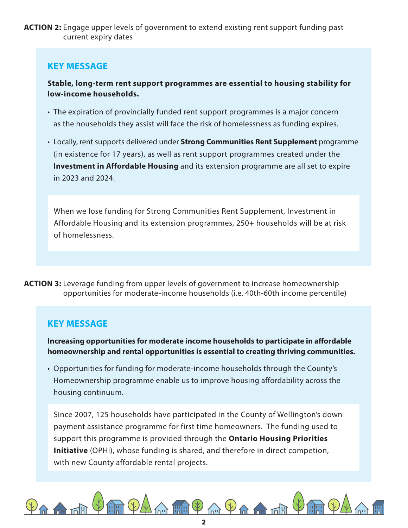**ACTION 2:** Engage upper levels of government to extend existing rent support funding past current expiry dates

## **KEY MESSAGE**

**Stable, long-term rent support programmes are essential to housing stability for low-income households.**

- The expiration of provincially funded rent support programmes is a major concern as the households they assist will face the risk of homelessness as funding expires.
- Locally, rent supports delivered under **Strong Communities Rent Supplement** programme (in existence for 17 years), as well as rent support programmes created under the **Investment in Affordable Housing** and its extension programme are all set to expire in 2023 and 2024.

When we lose funding for Strong Communities Rent Supplement, Investment in Affordable Housing and its extension programmes, 250+ households will be at risk of homelessness.

**ACTION 3:** Leverage funding from upper levels of government to increase homeownership opportunities for moderate-income households (i.e. 40th-60th income percentile)

### **KEY MESSAGE**

**Increasing opportunities for moderate income households to participate in affordable homeownership and rental opportunities is essential to creating thriving communities.** 

• Opportunities for funding for moderate-income households through the County's Homeownership programme enable us to improve housing affordability across the housing continuum.

Since 2007, 125 households have participated in the County of Wellington's down payment assistance programme for first time homeowners. The funding used to support this programme is provided through the **Ontario Housing Priorities Initiative** (OPHI), whose funding is shared, and therefore in direct competion, with new County affordable rental projects.

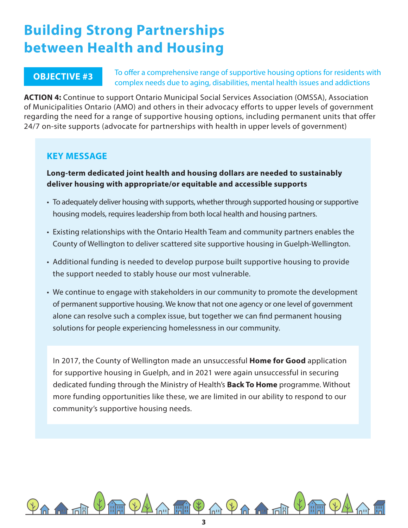## **Building Strong Partnerships between Health and Housing**

### **OBJECTIVE #3**

To offer a comprehensive range of supportive housing options for residents with complex needs due to aging, disabilities, mental health issues and addictions

**ACTION 4:** Continue to support Ontario Municipal Social Services Association (OMSSA), Association of Municipalities Ontario (AMO) and others in their advocacy efforts to upper levels of government regarding the need for a range of supportive housing options, including permanent units that offer 24/7 on-site supports (advocate for partnerships with health in upper levels of government)

### **KEY MESSAGE**

### **Long-term dedicated joint health and housing dollars are needed to sustainably deliver housing with appropriate/or equitable and accessible supports**

- To adequately deliver housing with supports, whether through supported housing or supportive housing models, requires leadership from both local health and housing partners.
- Existing relationships with the Ontario Health Team and community partners enables the County of Wellington to deliver scattered site supportive housing in Guelph-Wellington.
- Additional funding is needed to develop purpose built supportive housing to provide the support needed to stably house our most vulnerable.
- We continue to engage with stakeholders in our community to promote the development of permanent supportive housing. We know that not one agency or one level of government alone can resolve such a complex issue, but together we can find permanent housing solutions for people experiencing homelessness in our community.

In 2017, the County of Wellington made an unsuccessful **Home for Good** application for supportive housing in Guelph, and in 2021 were again unsuccessful in securing dedicated funding through the Ministry of Health's **Back To Home** programme. Without more funding opportunities like these, we are limited in our ability to respond to our community's supportive housing needs.

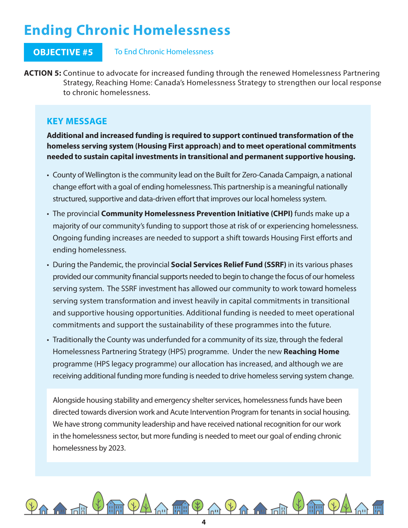# **Ending Chronic Homelessness**

### **OBJECTIVE #5** To End Chronic Homelessness

**ACTION 5:** Continue to advocate for increased funding through the renewed Homelessness Partnering Strategy, Reaching Home: Canada's Homelessness Strategy to strengthen our local response to chronic homelessness.

### **KEY MESSAGE**

**Additional and increased funding is required to support continued transformation of the homeless serving system (Housing First approach) and to meet operational commitments needed to sustain capital investments in transitional and permanent supportive housing.**

- County of Wellington is the community lead on the Built for Zero-Canada Campaign, a national change effort with a goal of ending homelessness. This partnership is a meaningful nationally structured, supportive and data-driven effort that improves our local homeless system.
- The provincial **Community Homelessness Prevention Initiative (CHPI)** funds make up a majority of our community's funding to support those at risk of or experiencing homelessness. Ongoing funding increases are needed to support a shift towards Housing First efforts and ending homelessness.
- During the Pandemic, the provincial **Social Services Relief Fund (SSRF)** in its various phases provided our community financial supports needed to begin to change the focus of our homeless serving system. The SSRF investment has allowed our community to work toward homeless serving system transformation and invest heavily in capital commitments in transitional and supportive housing opportunities. Additional funding is needed to meet operational commitments and support the sustainability of these programmes into the future.
- Traditionally the County was underfunded for a community of its size, through the federal Homelessness Partnering Strategy (HPS) programme. Under the new **Reaching Home**  programme (HPS legacy programme) our allocation has increased, and although we are receiving additional funding more funding is needed to drive homeless serving system change.

Alongside housing stability and emergency shelter services, homelessness funds have been directed towards diversion work and Acute Intervention Program for tenants in social housing. We have strong community leadership and have received national recognition for our work in the homelessness sector, but more funding is needed to meet our goal of ending chronic homelessness by 2023.

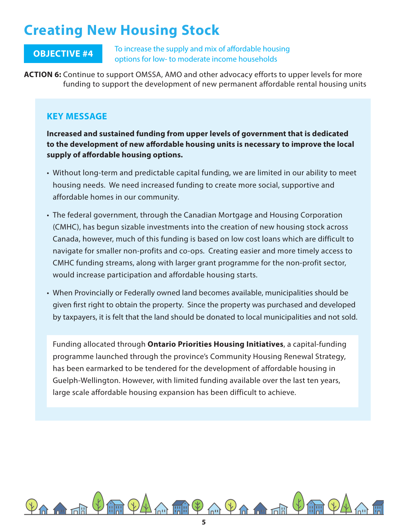## **Creating New Housing Stock**

To increase the supply and mix of affordable housing options for low- to moderate income households **OBJECTIVE #4**

**ACTION 6:** Continue to support OMSSA, AMO and other advocacy efforts to upper levels for more funding to support the development of new permanent affordable rental housing units

### **KEY MESSAGE**

**Increased and sustained funding from upper levels of government that is dedicated to the development of new affordable housing units is necessary to improve the local supply of affordable housing options.**

- Without long-term and predictable capital funding, we are limited in our ability to meet housing needs. We need increased funding to create more social, supportive and affordable homes in our community.
- The federal government, through the Canadian Mortgage and Housing Corporation (CMHC), has begun sizable investments into the creation of new housing stock across Canada, however, much of this funding is based on low cost loans which are difficult to navigate for smaller non-profits and co-ops. Creating easier and more timely access to CMHC funding streams, along with larger grant programme for the non-profit sector, would increase participation and affordable housing starts.
- When Provincially or Federally owned land becomes available, municipalities should be given first right to obtain the property. Since the property was purchased and developed by taxpayers, it is felt that the land should be donated to local municipalities and not sold.

Funding allocated through **Ontario Priorities Housing Initiatives**, a capital-funding programme launched through the province's Community Housing Renewal Strategy, has been earmarked to be tendered for the development of affordable housing in Guelph-Wellington. However, with limited funding available over the last ten years, large scale affordable housing expansion has been difficult to achieve.

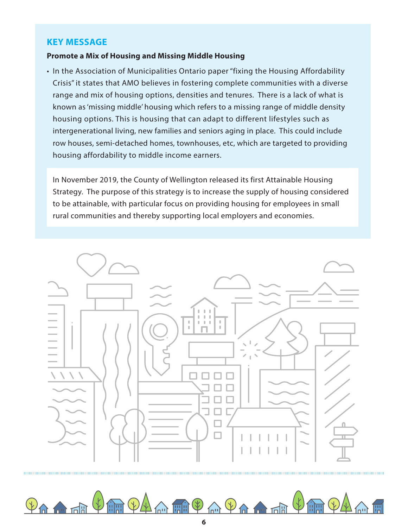### **KEY MESSAGE**

### **Promote a Mix of Housing and Missing Middle Housing**

• In the Association of Municipalities Ontario paper "fixing the Housing Affordability Crisis" it states that AMO believes in fostering complete communities with a diverse range and mix of housing options, densities and tenures. There is a lack of what is known as 'missing middle' housing which refers to a missing range of middle density housing options. This is housing that can adapt to different lifestyles such as intergenerational living, new families and seniors aging in place. This could include row houses, semi-detached homes, townhouses, etc, which are targeted to providing housing affordability to middle income earners.

In November 2019, the County of Wellington released its first Attainable Housing Strategy. The purpose of this strategy is to increase the supply of housing considered to be attainable, with particular focus on providing housing for employees in small rural communities and thereby supporting local employers and economies.



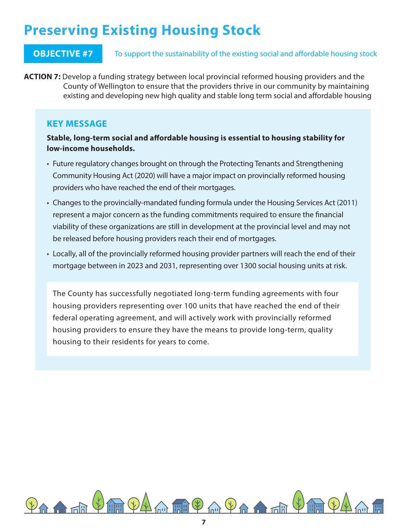# **Preserving Existing Housing Stock**

### **OBJECTIVE #7** To support the sustainability of the existing social and affordable housing stock

**ACTION 7:** Develop a funding strategy between local provincial reformed housing providers and the County of Wellington to ensure that the providers thrive in our community by maintaining existing and developing new high quality and stable long term social and affordable housing

### **KEY MESSAGE**

**Stable, long-term social and affordable housing is essential to housing stability for low-income households.**

- Future regulatory changes brought on through the Protecting Tenants and Strengthening Community Housing Act (2020) will have a major impact on provincially reformed housing providers who have reached the end of their mortgages.
- Changes to the provincially-mandated funding formula under the Housing Services Act (2011) represent a major concern as the funding commitments required to ensure the financial viability of these organizations are still in development at the provincial level and may not be released before housing providers reach their end of mortgages.
- Locally, all of the provincially reformed housing provider partners will reach the end of their mortgage between in 2023 and 2031, representing over 1300 social housing units at risk.

The County has successfully negotiated long-term funding agreements with four housing providers representing over 100 units that have reached the end of their federal operating agreement, and will actively work with provincially reformed housing providers to ensure they have the means to provide long-term, quality housing to their residents for years to come.

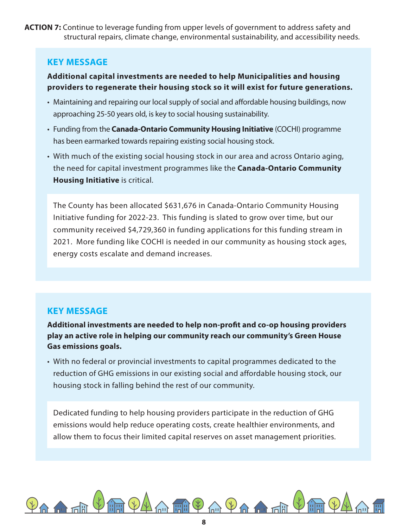**ACTION 7:** Continue to leverage funding from upper levels of government to address safety and structural repairs, climate change, environmental sustainability, and accessibility needs.

### **KEY MESSAGE**

### **Additional capital investments are needed to help Municipalities and housing providers to regenerate their housing stock so it will exist for future generations.**

- Maintaining and repairing our local supply of social and affordable housing buildings, now approaching 25-50 years old, is key to social housing sustainability.
- Funding from the **Canada-Ontario Community Housing Initiative** (COCHI) programme has been earmarked towards repairing existing social housing stock.
- With much of the existing social housing stock in our area and across Ontario aging, the need for capital investment programmes like the **Canada-Ontario Community Housing Initiative** is critical.

The County has been allocated \$631,676 in Canada-Ontario Community Housing Initiative funding for 2022-23. This funding is slated to grow over time, but our community received \$4,729,360 in funding applications for this funding stream in 2021. More funding like COCHI is needed in our community as housing stock ages, energy costs escalate and demand increases.

## **KEY MESSAGE**

**Additional investments are needed to help non-profit and co-op housing providers play an active role in helping our community reach our community's Green House Gas emissions goals.**

• With no federal or provincial investments to capital programmes dedicated to the reduction of GHG emissions in our existing social and affordable housing stock, our housing stock in falling behind the rest of our community.

Dedicated funding to help housing providers participate in the reduction of GHG emissions would help reduce operating costs, create healthier environments, and allow them to focus their limited capital reserves on asset management priorities.